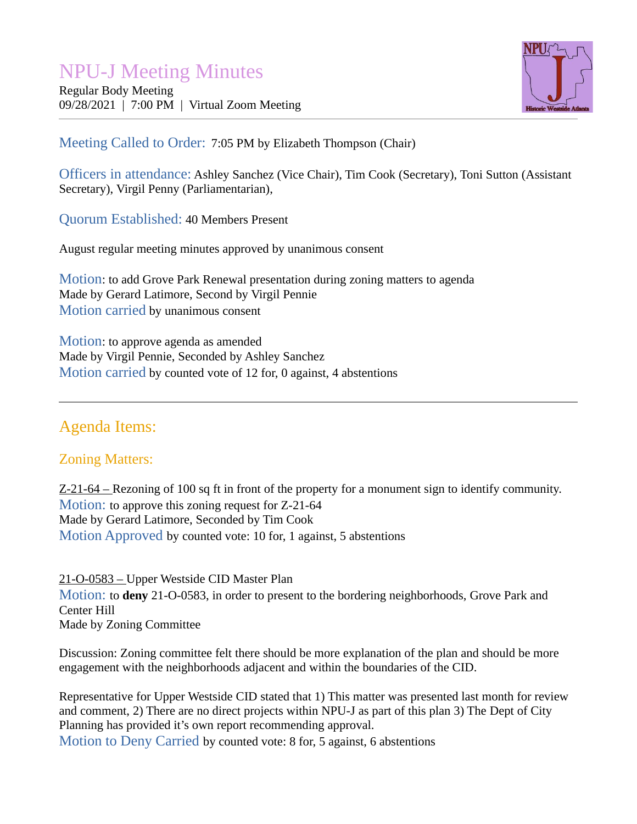# NPU-J Meeting Minutes

Regular Body Meeting 09/28/2021 | 7:00 PM | Virtual Zoom Meeting



Meeting Called to Order: 7:05 PM by Elizabeth Thompson (Chair)

Officers in attendance: Ashley Sanchez (Vice Chair), Tim Cook (Secretary), Toni Sutton (Assistant Secretary), Virgil Penny (Parliamentarian),

Quorum Established: 40 Members Present

August regular meeting minutes approved by unanimous consent

Motion: to add Grove Park Renewal presentation during zoning matters to agenda Made by Gerard Latimore, Second by Virgil Pennie Motion carried by unanimous consent

Motion: to approve agenda as amended Made by Virgil Pennie, Seconded by Ashley Sanchez Motion carried by counted vote of 12 for, 0 against, 4 abstentions

## Agenda Items:

## Zoning Matters:

Z-21-64 – Rezoning of 100 sq ft in front of the property for a monument sign to identify community. Motion: to approve this zoning request for Z-21-64 Made by Gerard Latimore, Seconded by Tim Cook Motion Approved by counted vote: 10 for, 1 against, 5 abstentions

21-O-0583 – Upper Westside CID Master Plan Motion: to **deny** 21-O-0583, in order to present to the bordering neighborhoods, Grove Park and Center Hill Made by Zoning Committee

Discussion: Zoning committee felt there should be more explanation of the plan and should be more engagement with the neighborhoods adjacent and within the boundaries of the CID.

Representative for Upper Westside CID stated that 1) This matter was presented last month for review and comment, 2) There are no direct projects within NPU-J as part of this plan 3) The Dept of City Planning has provided it's own report recommending approval.

Motion to Deny Carried by counted vote: 8 for, 5 against, 6 abstentions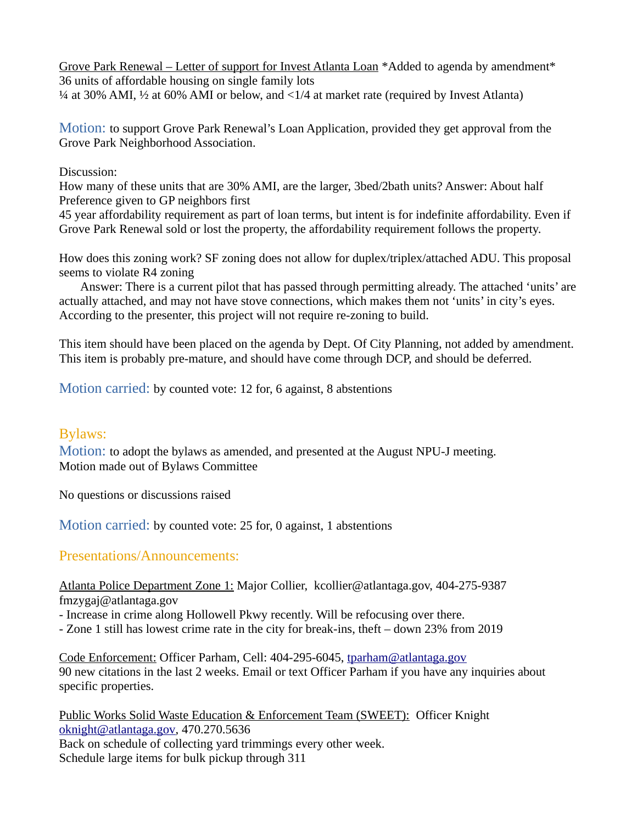Grove Park Renewal – Letter of support for Invest Atlanta Loan \*Added to agenda by amendment\* 36 units of affordable housing on single family lots ¼ at 30% AMI, ½ at 60% AMI or below, and <1/4 at market rate (required by Invest Atlanta)

Motion: to support Grove Park Renewal's Loan Application, provided they get approval from the Grove Park Neighborhood Association.

Discussion:

How many of these units that are 30% AMI, are the larger, 3bed/2bath units? Answer: About half Preference given to GP neighbors first

45 year affordability requirement as part of loan terms, but intent is for indefinite affordability. Even if Grove Park Renewal sold or lost the property, the affordability requirement follows the property.

How does this zoning work? SF zoning does not allow for duplex/triplex/attached ADU. This proposal seems to violate R4 zoning

Answer: There is a current pilot that has passed through permitting already. The attached 'units' are actually attached, and may not have stove connections, which makes them not 'units' in city's eyes. According to the presenter, this project will not require re-zoning to build.

This item should have been placed on the agenda by Dept. Of City Planning, not added by amendment. This item is probably pre-mature, and should have come through DCP, and should be deferred.

Motion carried: by counted vote: 12 for, 6 against, 8 abstentions

## Bylaws:

Motion: to adopt the bylaws as amended, and presented at the August NPU-J meeting. Motion made out of Bylaws Committee

No questions or discussions raised

Motion carried: by counted vote: 25 for, 0 against, 1 abstentions

## Presentations/Announcements:

Atlanta Police Department Zone 1: Major Collier, kcollier@atlantaga.gov, 404-275-9387 fmzygaj@atlantaga.gov

- Increase in crime along Hollowell Pkwy recently. Will be refocusing over there.
- Zone 1 still has lowest crime rate in the city for break-ins, theft down 23% from 2019

Code Enforcement: Officer Parham, Cell: 404-295-6045, [tparham@atlantaga.gov](mailto:tparham@atlantaga.gov) 90 new citations in the last 2 weeks. Email or text Officer Parham if you have any inquiries about specific properties.

Public Works Solid Waste Education & Enforcement Team (SWEET): Officer Knight [oknight@atlantaga.gov,](mailto:oknight@atlantaga.gov) 470.270.5636 Back on schedule of collecting yard trimmings every other week. Schedule large items for bulk pickup through 311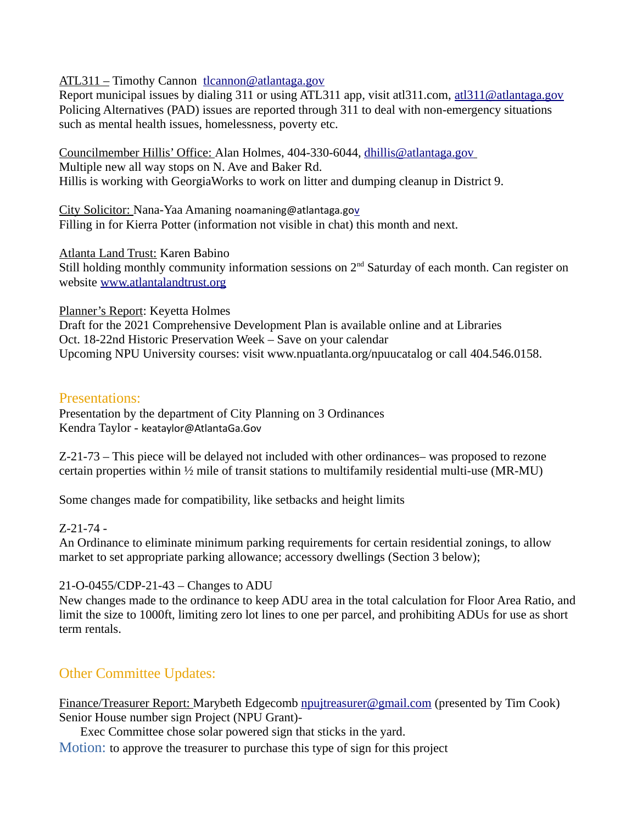#### ATL311 – Timothy Cannon [tlcannon@atlantaga.gov](mailto:tlcannon@atlantaga.gov)

Report municipal issues by dialing 311 or using ATL311 app, visit at 1311.com, at 1311 $\omega$  at lantaga.gov Policing Alternatives (PAD) issues are reported through 311 to deal with non-emergency situations such as mental health issues, homelessness, poverty etc.

Councilmember Hillis' Office: Alan Holmes, 404-330-6044, [dhillis@atlantaga.gov](mailto:dhillis@atlantaga.gov) Multiple new all way stops on N. Ave and Baker Rd. Hillis is working with GeorgiaWorks to work on litter and dumping cleanup in District 9.

City Solicitor: Nana-Yaa Amaning [noamaning@atlantaga.gov](mailto:noamaning@atlantaga.gov) Filling in for Kierra Potter (information not visible in chat) this month and next.

Atlanta Land Trust: Karen Babino Still holding monthly community information sessions on  $2<sup>nd</sup>$  Saturday of each month. Can register on website [www.atlantalandtrust.org](http://www.atlantalandtrust.org/)

Planner's Report: Keyetta Holmes Draft for the 2021 Comprehensive Development Plan is available online and at Libraries Oct. 18-22nd Historic Preservation Week – Save on your calendar Upcoming NPU University courses: visit www.npuatlanta.org/npuucatalog or call 404.546.0158.

#### Presentations:

Presentation by the department of City Planning on 3 Ordinances Kendra Taylor - [keataylor@AtlantaGa.Gov](mailto:keataylor@AtlantaGa.Gov)

Z-21-73 – This piece will be delayed not included with other ordinances– was proposed to rezone certain properties within ½ mile of transit stations to multifamily residential multi-use (MR-MU)

Some changes made for compatibility, like setbacks and height limits

#### Z-21-74 -

An Ordinance to eliminate minimum parking requirements for certain residential zonings, to allow market to set appropriate parking allowance; accessory dwellings (Section 3 below);

#### 21-O-0455/CDP-21-43 – Changes to ADU

New changes made to the ordinance to keep ADU area in the total calculation for Floor Area Ratio, and limit the size to 1000ft, limiting zero lot lines to one per parcel, and prohibiting ADUs for use as short term rentals.

## Other Committee Updates:

Finance/Treasurer Report: Marybeth Edgecomb [npujtreasurer@gmail.com](mailto:npujtreasurer@gmail.com) (presented by Tim Cook) Senior House number sign Project (NPU Grant)-

Exec Committee chose solar powered sign that sticks in the yard.

Motion: to approve the treasurer to purchase this type of sign for this project